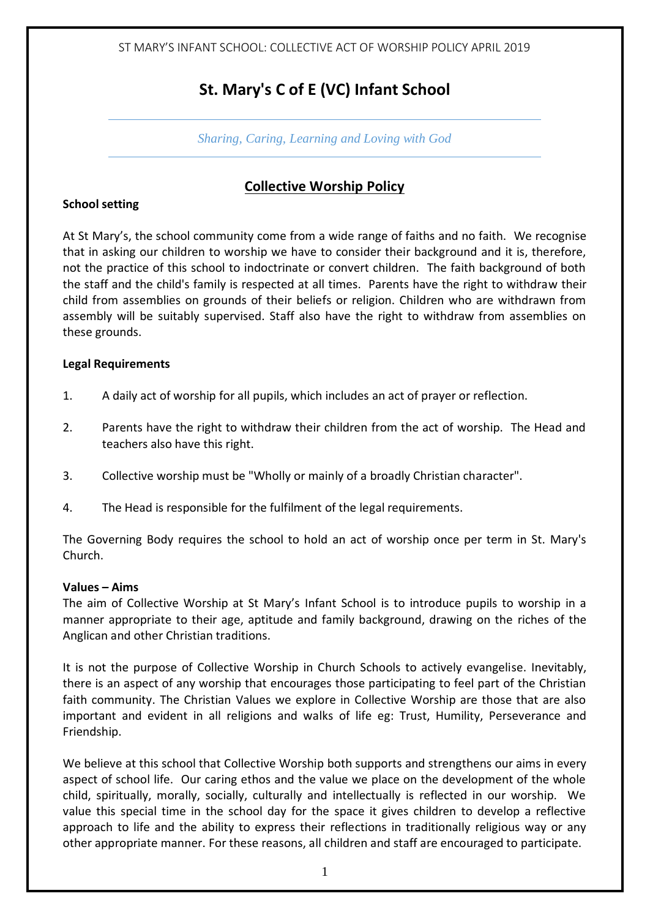### **St. Mary's C of E (VC) Infant School**

*Sharing, Caring, Learning and Loving with God*

#### **Collective Worship Policy**

#### **School setting**

At St Mary's, the school community come from a wide range of faiths and no faith. We recognise that in asking our children to worship we have to consider their background and it is, therefore, not the practice of this school to indoctrinate or convert children. The faith background of both the staff and the child's family is respected at all times. Parents have the right to withdraw their child from assemblies on grounds of their beliefs or religion. Children who are withdrawn from assembly will be suitably supervised. Staff also have the right to withdraw from assemblies on these grounds.

#### **Legal Requirements**

- 1. A daily act of worship for all pupils, which includes an act of prayer or reflection.
- 2. Parents have the right to withdraw their children from the act of worship. The Head and teachers also have this right.
- 3. Collective worship must be "Wholly or mainly of a broadly Christian character".
- 4. The Head is responsible for the fulfilment of the legal requirements.

The Governing Body requires the school to hold an act of worship once per term in St. Mary's Church.

#### **Values – Aims**

The aim of Collective Worship at St Mary's Infant School is to introduce pupils to worship in a manner appropriate to their age, aptitude and family background, drawing on the riches of the Anglican and other Christian traditions.

It is not the purpose of Collective Worship in Church Schools to actively evangelise. Inevitably, there is an aspect of any worship that encourages those participating to feel part of the Christian faith community. The Christian Values we explore in Collective Worship are those that are also important and evident in all religions and walks of life eg: Trust, Humility, Perseverance and Friendship.

We believe at this school that Collective Worship both supports and strengthens our aims in every aspect of school life. Our caring ethos and the value we place on the development of the whole child, spiritually, morally, socially, culturally and intellectually is reflected in our worship. We value this special time in the school day for the space it gives children to develop a reflective approach to life and the ability to express their reflections in traditionally religious way or any other appropriate manner. For these reasons, all children and staff are encouraged to participate.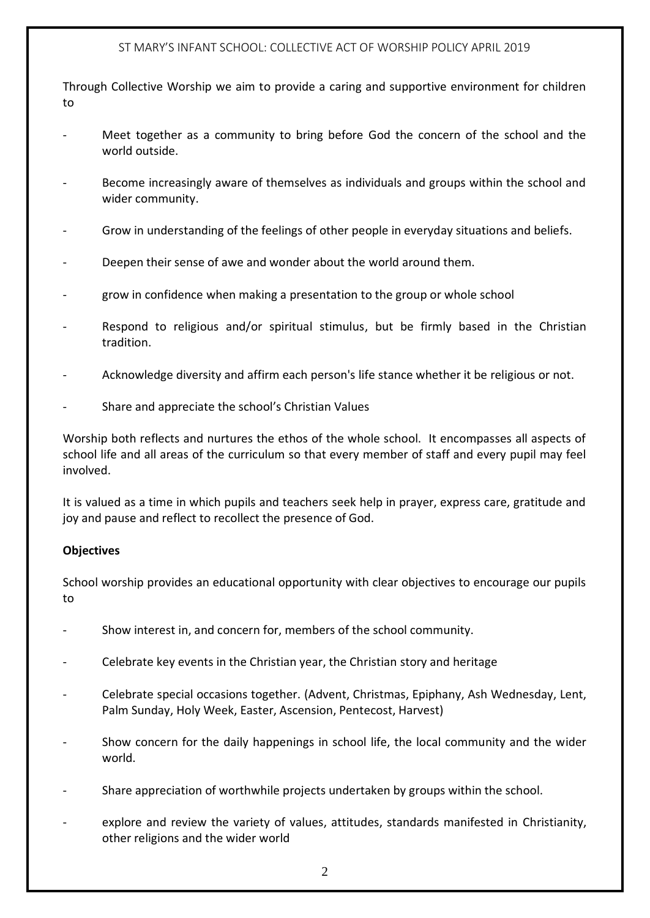Through Collective Worship we aim to provide a caring and supportive environment for children to

- Meet together as a community to bring before God the concern of the school and the world outside.
- Become increasingly aware of themselves as individuals and groups within the school and wider community.
- Grow in understanding of the feelings of other people in everyday situations and beliefs.
- Deepen their sense of awe and wonder about the world around them.
- grow in confidence when making a presentation to the group or whole school
- Respond to religious and/or spiritual stimulus, but be firmly based in the Christian tradition.
- Acknowledge diversity and affirm each person's life stance whether it be religious or not.
- Share and appreciate the school's Christian Values

Worship both reflects and nurtures the ethos of the whole school. It encompasses all aspects of school life and all areas of the curriculum so that every member of staff and every pupil may feel involved.

It is valued as a time in which pupils and teachers seek help in prayer, express care, gratitude and joy and pause and reflect to recollect the presence of God.

#### **Objectives**

School worship provides an educational opportunity with clear objectives to encourage our pupils to

- Show interest in, and concern for, members of the school community.
- Celebrate key events in the Christian year, the Christian story and heritage
- Celebrate special occasions together. (Advent, Christmas, Epiphany, Ash Wednesday, Lent, Palm Sunday, Holy Week, Easter, Ascension, Pentecost, Harvest)
- Show concern for the daily happenings in school life, the local community and the wider world.
- Share appreciation of worthwhile projects undertaken by groups within the school.
- explore and review the variety of values, attitudes, standards manifested in Christianity, other religions and the wider world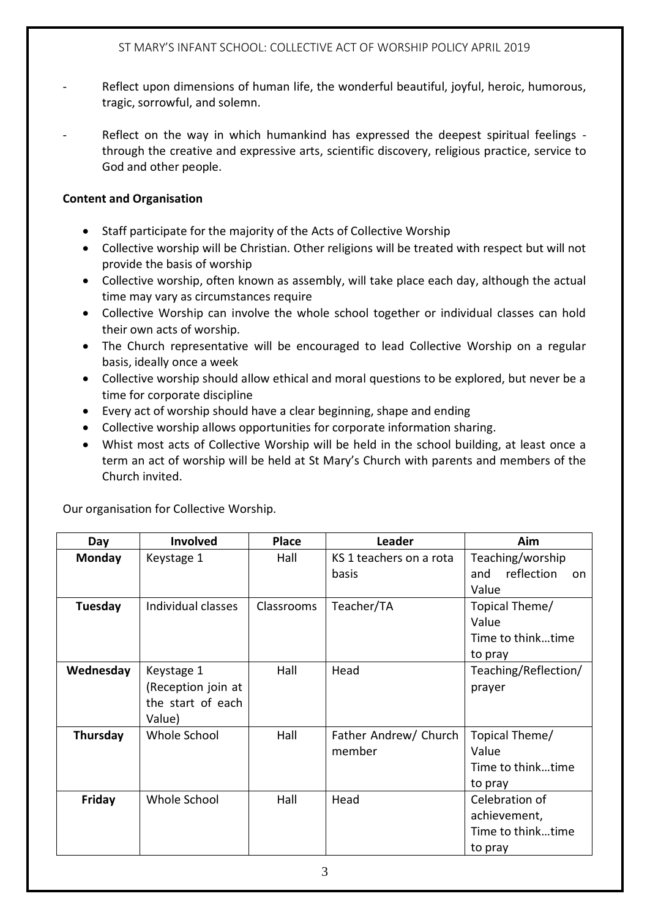- Reflect upon dimensions of human life, the wonderful beautiful, joyful, heroic, humorous, tragic, sorrowful, and solemn.
- Reflect on the way in which humankind has expressed the deepest spiritual feelings through the creative and expressive arts, scientific discovery, religious practice, service to God and other people.

#### **Content and Organisation**

- Staff participate for the majority of the Acts of Collective Worship
- Collective worship will be Christian. Other religions will be treated with respect but will not provide the basis of worship
- Collective worship, often known as assembly, will take place each day, although the actual time may vary as circumstances require
- Collective Worship can involve the whole school together or individual classes can hold their own acts of worship.
- The Church representative will be encouraged to lead Collective Worship on a regular basis, ideally once a week
- Collective worship should allow ethical and moral questions to be explored, but never be a time for corporate discipline
- Every act of worship should have a clear beginning, shape and ending
- Collective worship allows opportunities for corporate information sharing.
- Whist most acts of Collective Worship will be held in the school building, at least once a term an act of worship will be held at St Mary's Church with parents and members of the Church invited.

Our organisation for Collective Worship.

| Day            | Involved           | <b>Place</b> | <b>Leader</b>           | Aim                      |
|----------------|--------------------|--------------|-------------------------|--------------------------|
| <b>Monday</b>  | Keystage 1         | Hall         | KS 1 teachers on a rota | Teaching/worship         |
|                |                    |              | basis                   | reflection<br>and<br>on. |
|                |                    |              |                         | Value                    |
| <b>Tuesday</b> | Individual classes | Classrooms   | Teacher/TA              | Topical Theme/           |
|                |                    |              |                         | Value                    |
|                |                    |              |                         | Time to thinktime        |
|                |                    |              |                         | to pray                  |
| Wednesday      | Keystage 1         | Hall         | Head                    | Teaching/Reflection/     |
|                | (Reception join at |              |                         | prayer                   |
|                | the start of each  |              |                         |                          |
|                | Value)             |              |                         |                          |
| Thursday       | Whole School       | Hall         | Father Andrew/ Church   | Topical Theme/           |
|                |                    |              | member                  | Value                    |
|                |                    |              |                         | Time to thinktime        |
|                |                    |              |                         | to pray                  |
| Friday         | Whole School       | Hall         | Head                    | Celebration of           |
|                |                    |              |                         | achievement,             |
|                |                    |              |                         | Time to thinktime        |
|                |                    |              |                         | to pray                  |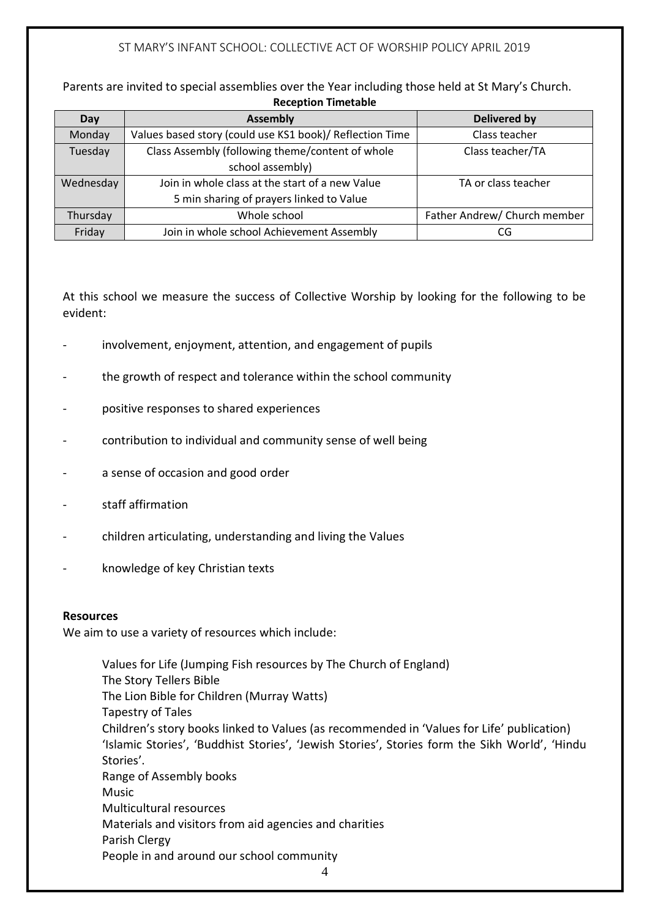Parents are invited to special assemblies over the Year including those held at St Mary's Church. **Reception Timetable**

| Day       | <b>Assembly</b>                                          | <b>Delivered by</b>          |
|-----------|----------------------------------------------------------|------------------------------|
| Monday    | Values based story (could use KS1 book)/ Reflection Time | Class teacher                |
| Tuesday   | Class Assembly (following theme/content of whole         | Class teacher/TA             |
|           | school assembly)                                         |                              |
| Wednesday | Join in whole class at the start of a new Value          | TA or class teacher          |
|           | 5 min sharing of prayers linked to Value                 |                              |
| Thursday  | Whole school                                             | Father Andrew/ Church member |
| Friday    | Join in whole school Achievement Assembly                | CG                           |

At this school we measure the success of Collective Worship by looking for the following to be evident:

- involvement, enjoyment, attention, and engagement of pupils
- the growth of respect and tolerance within the school community
- positive responses to shared experiences
- contribution to individual and community sense of well being
- a sense of occasion and good order
- staff affirmation
- children articulating, understanding and living the Values
- knowledge of key Christian texts

#### **Resources**

We aim to use a variety of resources which include:

4 Values for Life (Jumping Fish resources by The Church of England) The Story Tellers Bible The Lion Bible for Children (Murray Watts) Tapestry of Tales Children's story books linked to Values (as recommended in 'Values for Life' publication) 'Islamic Stories', 'Buddhist Stories', 'Jewish Stories', Stories form the Sikh World', 'Hindu Stories'. Range of Assembly books Music Multicultural resources Materials and visitors from aid agencies and charities Parish Clergy People in and around our school community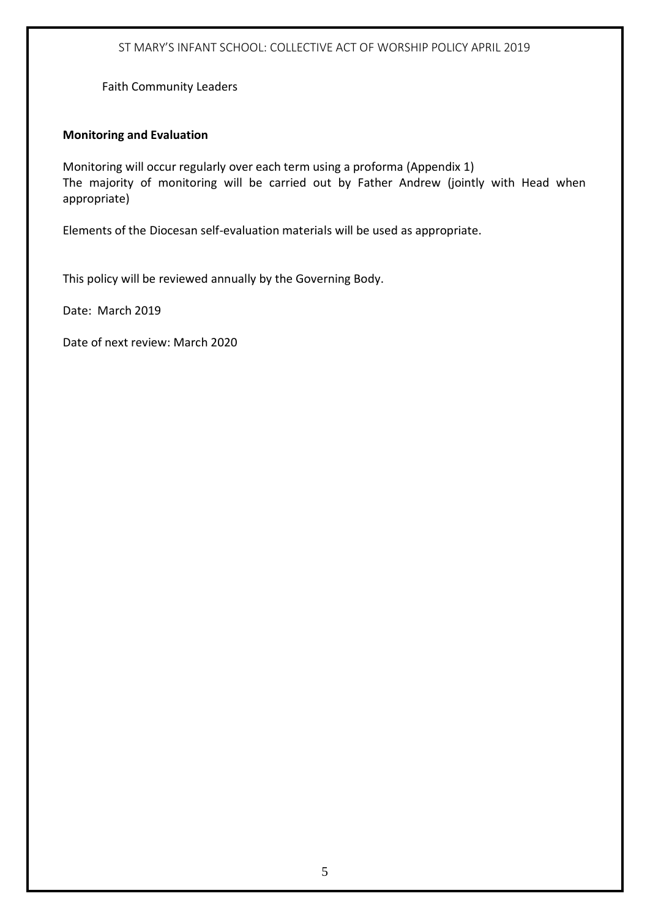Faith Community Leaders

#### **Monitoring and Evaluation**

Monitoring will occur regularly over each term using a proforma (Appendix 1) The majority of monitoring will be carried out by Father Andrew (jointly with Head when appropriate)

Elements of the Diocesan self-evaluation materials will be used as appropriate.

This policy will be reviewed annually by the Governing Body.

Date: March 2019

Date of next review: March 2020